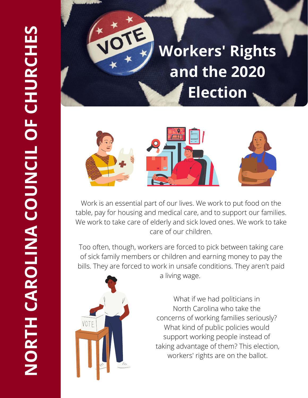## **Workers' Rights and the 2020 Election**



Work is an essential part of our lives. We work to put food on the table, pay for housing and medical care, and to support our families. We work to take care of elderly and sick loved ones. We work to take care of our children.

Too often, though, workers are forced to pick between taking care of sick family members or children and earning money to pay the bills. They are forced to work in unsafe conditions. They aren't paid



a living wage.

What if we had politicians in North Carolina who take the concerns of working families seriously? What kind of public policies would support working people instead of taking advantage of them? This election, workers' rights are on the ballot.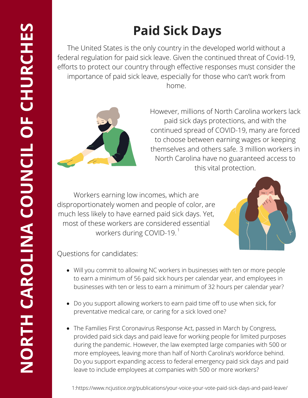## **Paid Sick Days**

The United States is the only country in the developed world without a federal regulation for paid sick leave. Given the continued threat of Covid-19, efforts to protect our country through effective responses must consider the importance of paid sick leave, especially for those who can't work from home.



However, millions of North Carolina workers lack paid sick days protections, and with the continued spread of COVID-19, many are forced to choose between earning wages or keeping themselves and others safe. 3 million workers in North Carolina have no guaranteed access to this vital protection.

Workers earning low incomes, which are disproportionately women and people of color, are much less likely to have earned paid sick days. Yet, most of these workers are considered essential workers during COVID-19. $^\mathrm{1}$ 



Questions for candidates:

- Will you commit to allowing NC workers in businesses with ten or more people to earn a minimum of 56 paid sick hours per calendar year, and employees in businesses with ten or less to earn a minimum of 32 hours per calendar year?
- Do you support allowing workers to earn paid time off to use when sick, for preventative medical care, or caring for a sick loved one?
- The Families First Coronavirus Response Act, passed in March by Congress, provided paid sick days and paid leave for working people for limited purposes during the pandemic. However, the law exempted large companies with 500 or more employees, leaving more than half of North Carolina's workforce behind. Do you support expanding access to federal emergency paid sick days and paid leave to include employees at companies with 500 or more workers?

1:https://www.ncjustice.org/publications/your-voice-your-vote-paid-sick-days-and-paid-leave/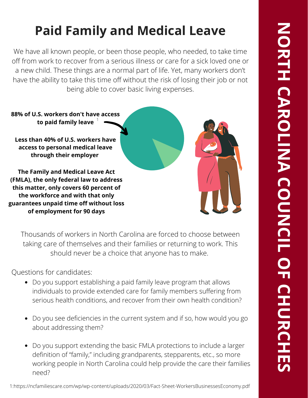## **Paid Family and Medical Leave**

We have all known people, or been those people, who needed, to take time off from work to recover from a serious illness or care for a sick loved one or a new child. These things are a normal part of life. Yet, many workers don't have the ability to take this time off without the risk of losing their job or not being able to cover basic living expenses.



Thousands of workers in North Carolina are forced to choose between taking care of themselves and their families or returning to work. This should never be a choice that anyone has to make.

Questions for candidates:

- Do you support establishing a paid family leave program that allows individuals to provide extended care for family members suffering from serious health conditions, and recover from their own health condition?
- Do you see deficiencies in the current system and if so, how would you go about addressing them?
- Do you support extending the basic FMLA protections to include a larger definition of "family," including grandparents, stepparents, etc., so more working people in North Carolina could help provide the care their families need?

**C**

**H**

**E S**